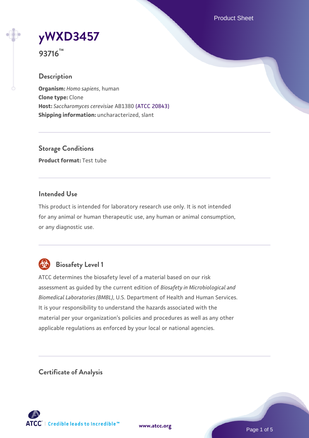Product Sheet

**[yWXD3457](https://www.atcc.org/products/93716)**

**93716™**

### **Description**

**Organism:** *Homo sapiens*, human **Clone type:** Clone **Host:** *Saccharomyces cerevisiae* AB1380 [\(ATCC 20843\)](https://www.atcc.org/products/20843) **Shipping information:** uncharacterized, slant

**Storage Conditions Product format:** Test tube

### **Intended Use**

This product is intended for laboratory research use only. It is not intended for any animal or human therapeutic use, any human or animal consumption, or any diagnostic use.



# **Biosafety Level 1**

ATCC determines the biosafety level of a material based on our risk assessment as guided by the current edition of *Biosafety in Microbiological and Biomedical Laboratories (BMBL)*, U.S. Department of Health and Human Services. It is your responsibility to understand the hazards associated with the material per your organization's policies and procedures as well as any other applicable regulations as enforced by your local or national agencies.

**Certificate of Analysis**

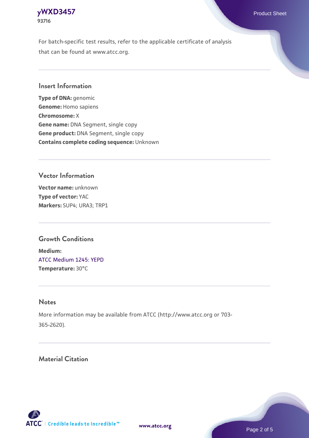For batch-specific test results, refer to the applicable certificate of analysis that can be found at www.atcc.org.

### **Insert Information**

**Type of DNA:** genomic **Genome:** Homo sapiens **Chromosome:** X **Gene name:** DNA Segment, single copy **Gene product:** DNA Segment, single copy **Contains complete coding sequence:** Unknown

# **Vector Information**

**Vector name:** unknown **Type of vector:** YAC **Markers:** SUP4; URA3; TRP1

## **Growth Conditions**

**Medium:**  [ATCC Medium 1245: YEPD](https://www.atcc.org/-/media/product-assets/documents/microbial-media-formulations/1/2/4/5/atcc-medium-1245.pdf?rev=705ca55d1b6f490a808a965d5c072196) **Temperature:** 30°C

#### **Notes**

More information may be available from ATCC (http://www.atcc.org or 703- 365-2620).

# **Material Citation**

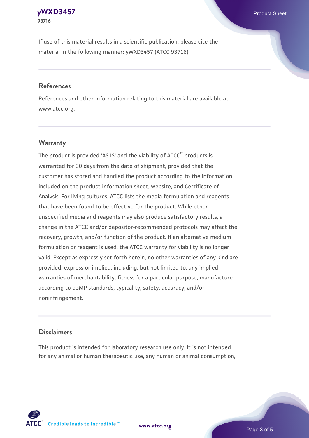If use of this material results in a scientific publication, please cite the material in the following manner: yWXD3457 (ATCC 93716)

#### **References**

References and other information relating to this material are available at www.atcc.org.

## **Warranty**

The product is provided 'AS IS' and the viability of  $ATCC<sup>®</sup>$  products is warranted for 30 days from the date of shipment, provided that the customer has stored and handled the product according to the information included on the product information sheet, website, and Certificate of Analysis. For living cultures, ATCC lists the media formulation and reagents that have been found to be effective for the product. While other unspecified media and reagents may also produce satisfactory results, a change in the ATCC and/or depositor-recommended protocols may affect the recovery, growth, and/or function of the product. If an alternative medium formulation or reagent is used, the ATCC warranty for viability is no longer valid. Except as expressly set forth herein, no other warranties of any kind are provided, express or implied, including, but not limited to, any implied warranties of merchantability, fitness for a particular purpose, manufacture according to cGMP standards, typicality, safety, accuracy, and/or noninfringement.

#### **Disclaimers**

This product is intended for laboratory research use only. It is not intended for any animal or human therapeutic use, any human or animal consumption,

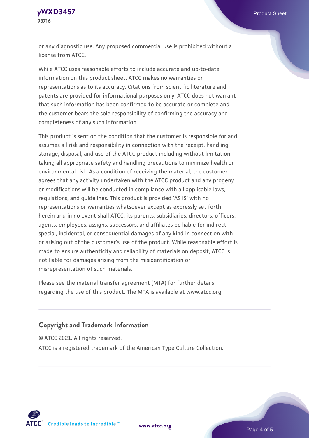or any diagnostic use. Any proposed commercial use is prohibited without a license from ATCC.

While ATCC uses reasonable efforts to include accurate and up-to-date information on this product sheet, ATCC makes no warranties or representations as to its accuracy. Citations from scientific literature and patents are provided for informational purposes only. ATCC does not warrant that such information has been confirmed to be accurate or complete and the customer bears the sole responsibility of confirming the accuracy and completeness of any such information.

This product is sent on the condition that the customer is responsible for and assumes all risk and responsibility in connection with the receipt, handling, storage, disposal, and use of the ATCC product including without limitation taking all appropriate safety and handling precautions to minimize health or environmental risk. As a condition of receiving the material, the customer agrees that any activity undertaken with the ATCC product and any progeny or modifications will be conducted in compliance with all applicable laws, regulations, and guidelines. This product is provided 'AS IS' with no representations or warranties whatsoever except as expressly set forth herein and in no event shall ATCC, its parents, subsidiaries, directors, officers, agents, employees, assigns, successors, and affiliates be liable for indirect, special, incidental, or consequential damages of any kind in connection with or arising out of the customer's use of the product. While reasonable effort is made to ensure authenticity and reliability of materials on deposit, ATCC is not liable for damages arising from the misidentification or misrepresentation of such materials.

Please see the material transfer agreement (MTA) for further details regarding the use of this product. The MTA is available at www.atcc.org.

#### **Copyright and Trademark Information**

© ATCC 2021. All rights reserved.

ATCC is a registered trademark of the American Type Culture Collection.



**[www.atcc.org](http://www.atcc.org)**